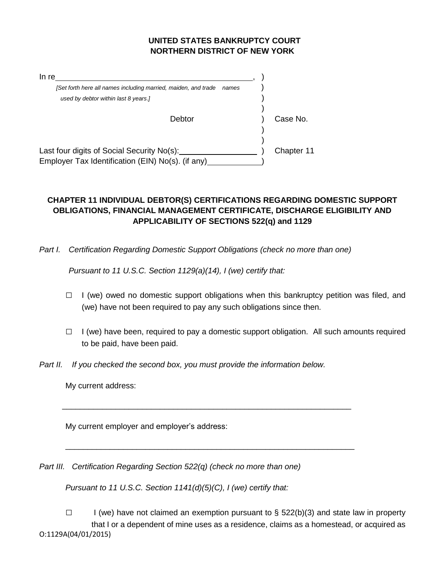## **UNITED STATES BANKRUPTCY COURT NORTHERN DISTRICT OF NEW YORK**

| In re                                                          |       |            |
|----------------------------------------------------------------|-------|------------|
| [Set forth here all names including married, maiden, and trade | names |            |
| used by debtor within last 8 years.]                           |       |            |
|                                                                |       |            |
| Debtor                                                         |       | Case No.   |
|                                                                |       |            |
|                                                                |       |            |
| Last four digits of Social Security No(s):                     |       | Chapter 11 |
| Employer Tax Identification (EIN) No(s). (if any)              |       |            |

## **CHAPTER 11 INDIVIDUAL DEBTOR(S) CERTIFICATIONS REGARDING DOMESTIC SUPPORT OBLIGATIONS, FINANCIAL MANAGEMENT CERTIFICATE, DISCHARGE ELIGIBILITY AND APPLICABILITY OF SECTIONS 522(q) and 1129**

*Part I. Certification Regarding Domestic Support Obligations (check no more than one)*

*Pursuant to 11 U.S.C. Section 1129(a)(14), I (we) certify that:*

- $\Box$  I (we) owed no domestic support obligations when this bankruptcy petition was filed, and (we) have not been required to pay any such obligations since then.
- $\Box$  I (we) have been, required to pay a domestic support obligation. All such amounts required to be paid, have been paid.
- *Part II. If you checked the second box, you must provide the information below.*

\_\_\_\_\_\_\_\_\_\_\_\_\_\_\_\_\_\_\_\_\_\_\_\_\_\_\_\_\_\_\_\_\_\_\_\_\_\_\_\_\_\_\_\_\_\_\_\_\_\_\_\_\_\_\_\_\_\_\_\_\_\_\_\_\_

\_\_\_\_\_\_\_\_\_\_\_\_\_\_\_\_\_\_\_\_\_\_\_\_\_\_\_\_\_\_\_\_\_\_\_\_\_\_\_\_\_\_\_\_\_\_\_\_\_\_\_\_\_\_\_\_\_\_\_\_\_\_\_\_\_

My current address:

My current employer and employer's address:

*Part III. Certification Regarding Section 522(q) (check no more than one)* 

*Pursuant to 11 U.S.C. Section 1141(d)(5)(C), I (we) certify that:*

O:1129A(04/01/2015)  $\square$  I (we) have not claimed an exemption pursuant to § 522(b)(3) and state law in property that I or a dependent of mine uses as a residence, claims as a homestead, or acquired as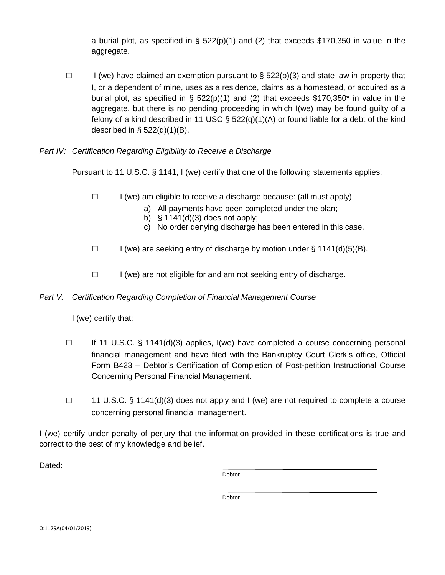a burial plot, as specified in §  $522(p)(1)$  and (2) that exceeds \$170,350 in value in the aggregate.

 $\square$  I (we) have claimed an exemption pursuant to § 522(b)(3) and state law in property that I, or a dependent of mine, uses as a residence, claims as a homestead, or acquired as a burial plot, as specified in § 522(p)(1) and (2) that exceeds \$170,350\* in value in the aggregate, but there is no pending proceeding in which I(we) may be found guilty of a felony of a kind described in 11 USC  $\S$  522(q)(1)(A) or found liable for a debt of the kind described in  $\S$  522(q)(1)(B).

## *Part IV: Certification Regarding Eligibility to Receive a Discharge*

Pursuant to 11 U.S.C. § 1141, I (we) certify that one of the following statements applies:

- $\Box$  I (we) am eligible to receive a discharge because: (all must apply)
	- a) All payments have been completed under the plan;
	- b)  $§ 1141(d)(3)$  does not apply;
	- c) No order denying discharge has been entered in this case.
- $\Box$  I (we) are seeking entry of discharge by motion under § 1141(d)(5)(B).
- □ I (we) are not eligible for and am not seeking entry of discharge.

## *Part V: Certification Regarding Completion of Financial Management Course*

I (we) certify that:

- □ If 11 U.S.C. § 1141(d)(3) applies, I(we) have completed a course concerning personal financial management and have filed with the Bankruptcy Court Clerk's office, Official Form B423 – Debtor's Certification of Completion of Post-petition Instructional Course Concerning Personal Financial Management.
- $\Box$  11 U.S.C. § 1141(d)(3) does not apply and I (we) are not required to complete a course concerning personal financial management.

I (we) certify under penalty of perjury that the information provided in these certifications is true and correct to the best of my knowledge and belief.

Dated:

Debtor

Debtor